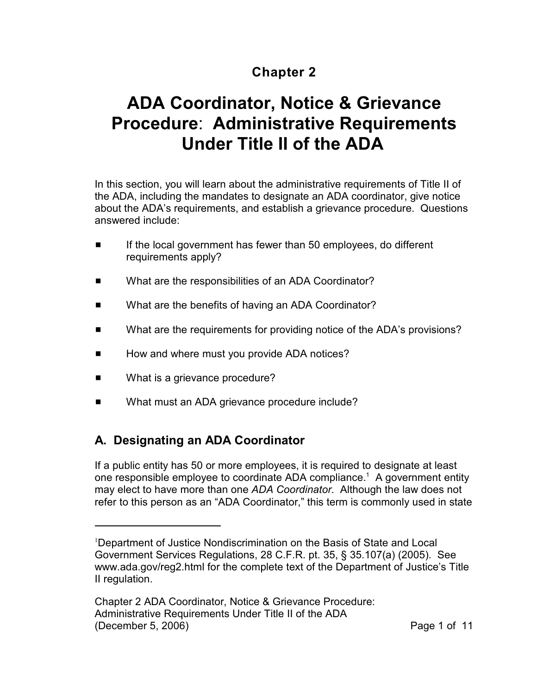## **Chapter 2**

# **ADA Coordinator, Notice & Grievance Procedure**: **Administrative Requirements Under Title II of the ADA**

In this section, you will learn about the administrative requirements of Title II of the ADA, including the mandates to designate an ADA coordinator, give notice about the ADA's requirements, and establish a grievance procedure. Questions answered include:

- **EXECUTE:** If the local government has fewer than 50 employees, do different requirements apply?
- What are the responsibilities of an ADA Coordinator?
- What are the benefits of having an ADA Coordinator?
- What are the requirements for providing notice of the ADA's provisions?
- How and where must you provide ADA notices?
- What is a grievance procedure?
- What must an ADA grievance procedure include?

## **A. Designating an ADA Coordinator**

If a public entity has 50 or more employees, it is required to designate at least one responsible employee to coordinate ADA compliance.<sup>1</sup> A government entity may elect to have more than one *ADA Coordinator*. Although the law does not refer to this person as an "ADA Coordinator," this term is commonly used in state

<sup>&</sup>lt;sup>1</sup>Department of Justice Nondiscrimination on the Basis of State and Local Government Services Regulations, 28 C.F.R. pt. 35, § 35.107(a) (2005). See www.ada.gov/reg2.html for the complete text of the Department of Justice's Title II regulation.

Chapter 2 ADA Coordinator, Notice & Grievance Procedure: Administrative Requirements Under Title II of the ADA (December 5, 2006) 2008 12:38 Page 1 of 11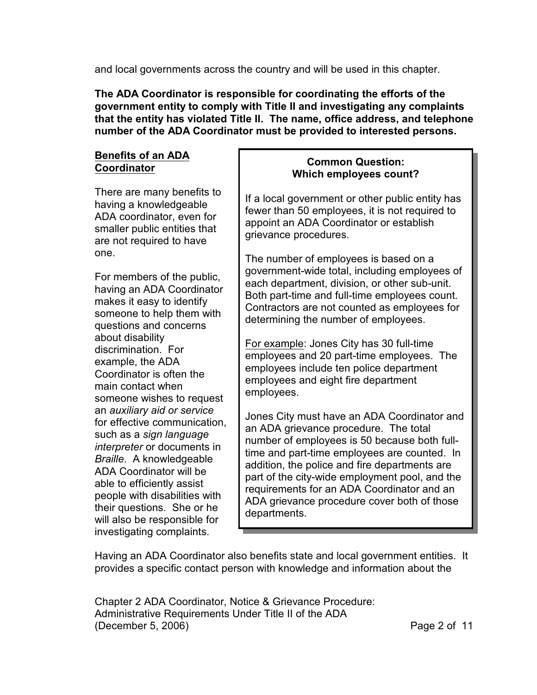and local governments across the country and will be used in this chapter.

**The ADA Coordinator is responsible for coordinating the efforts of the government entity to comply with Title II and investigating any complaints that the entity has violated Title II. The name, office address, and telephone number of the ADA Coordinator must be provided to interested persons.**

#### **Benefits of an ADA Coordinator**

There are many benefits to having a knowledgeable ADA coordinator, even for smaller public entities that are not required to have one.

For members of the public, having an ADA Coordinator makes it easy to identify someone to help them with questions and concerns about disability discrimination. For example, the ADA Coordinator is often the main contact when someone wishes to request an *auxiliary aid or service* for effective communication, such as a *sign language interpreter* or documents in *Braille*. A knowledgeable ADA Coordinator will be able to efficiently assist people with disabilities with their questions. She or he will also be responsible for investigating complaints.

#### **Common Question: Which employees count?**

If a local government or other public entity has fewer than 50 employees, it is not required to appoint an ADA Coordinator or establish grievance procedures.

The number of employees is based on a government-wide total, including employees of each department, division, or other sub-unit. Both part-time and full-time employees count. Contractors are not counted as employees for determining the number of employees.

For example: Jones City has 30 full-time employees and 20 part-time employees. The employees include ten police department employees and eight fire department employees.

Jones City must have an ADA Coordinator and an ADA grievance procedure. The total number of employees is 50 because both fulltime and part-time employees are counted. In addition, the police and fire departments are part of the city-wide employment pool, and the requirements for an ADA Coordinator and an ADA grievance procedure cover both of those departments.

Having an ADA Coordinator also benefits state and local government entities. It provides a specific contact person with knowledge and information about the

Chapter 2 ADA Coordinator, Notice & Grievance Procedure: Administrative Requirements Under Title II of the ADA (December 5, 2006) Page 2 of 11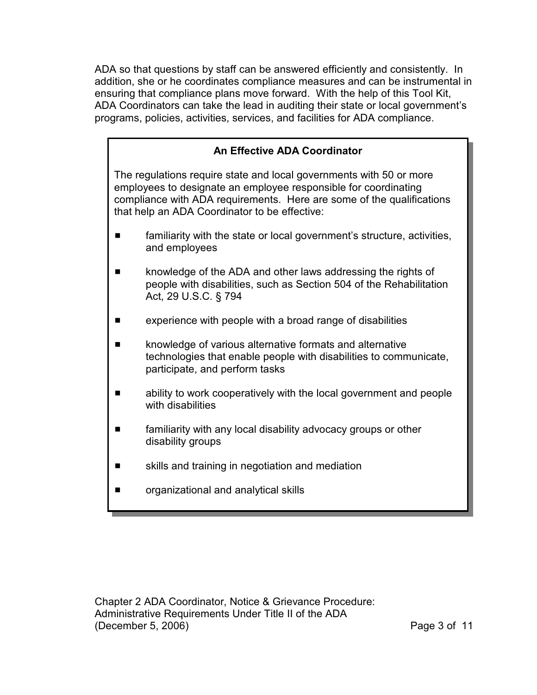ADA so that questions by staff can be answered efficiently and consistently. In addition, she or he coordinates compliance measures and can be instrumental in ensuring that compliance plans move forward. With the help of this Tool Kit, ADA Coordinators can take the lead in auditing their state or local government's programs, policies, activities, services, and facilities for ADA compliance.

## **An Effective ADA Coordinator** The regulations require state and local governments with 50 or more employees to designate an employee responsible for coordinating compliance with ADA requirements. Here are some of the qualifications that help an ADA Coordinator to be effective: **EXECUTE:** familiarity with the state or local government's structure, activities, and employees **EXECUTE:** knowledge of the ADA and other laws addressing the rights of people with disabilities, such as Section 504 of the Rehabilitation Act, 29 U.S.C. § 794  $\blacksquare$  experience with people with a broad range of disabilities  $\blacksquare$  knowledge of various alternative formats and alternative technologies that enable people with disabilities to communicate, participate, and perform tasks  $\blacksquare$  ability to work cooperatively with the local government and people with disabilities **EXED:** familiarity with any local disability advocacy groups or other disability groups skills and training in negotiation and mediation

**E** organizational and analytical skills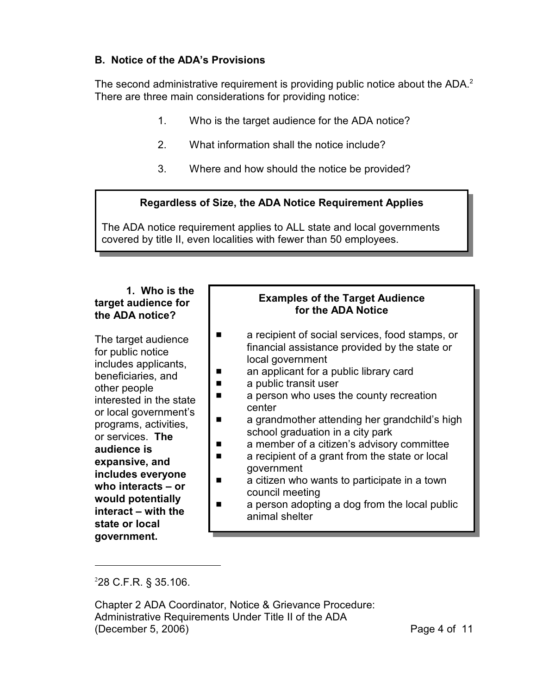#### **B. Notice of the ADA's Provisions**

The second administrative requirement is providing public notice about the ADA. $^2$ There are three main considerations for providing notice:

- 1. Who is the target audience for the ADA notice?
- 2. What information shall the notice include?
- 3. Where and how should the notice be provided?

#### **Regardless of Size, the ADA Notice Requirement Applies**

The ADA notice requirement applies to ALL state and local governments covered by title II, even localities with fewer than 50 employees.

#### **1. Who is the target audience for the ADA notice?**

The target audience for public notice includes applicants, beneficiaries, and other people interested in the state or local government's programs, activities, or services. **The audience is expansive, and includes everyone who interacts – or would potentially interact – with the state or local government.**

#### **Examples of the Target Audience for the ADA Notice**

- a recipient of social services, food stamps, or financial assistance provided by the state or local government
- **E** an applicant for a public library card
- $\blacksquare$  a public transit user
- **E** a person who uses the county recreation center
- $\blacksquare$  a grandmother attending her grandchild's high school graduation in a city park
- **E** a member of a citizen's advisory committee
- $\blacksquare$  a recipient of a grant from the state or local government
- $\blacksquare$  a citizen who wants to participate in a town council meeting
- $\blacksquare$  a person adopting a dog from the local public animal shelter

 $228$  C.F.R. § 35.106.

Chapter 2 ADA Coordinator, Notice & Grievance Procedure: Administrative Requirements Under Title II of the ADA (December 5, 2006) Page 4 of 11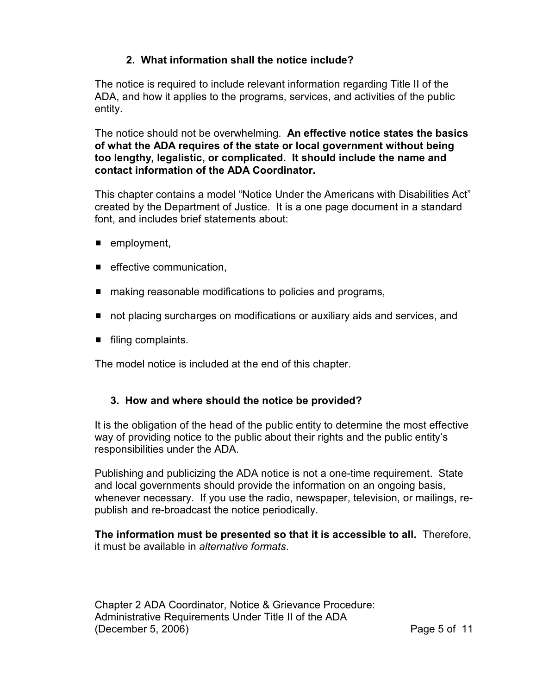#### **2. What information shall the notice include?**

The notice is required to include relevant information regarding Title II of the ADA, and how it applies to the programs, services, and activities of the public entity.

The notice should not be overwhelming. **An effective notice states the basics of what the ADA requires of the state or local government without being too lengthy, legalistic, or complicated. It should include the name and contact information of the ADA Coordinator.**

This chapter contains a model "Notice Under the Americans with Disabilities Act" created by the Department of Justice. It is a one page document in a standard font, and includes brief statements about:

- $\blacksquare$  employment,
- $\blacksquare$  effective communication,
- $\blacksquare$  making reasonable modifications to policies and programs,
- **not placing surcharges on modifications or auxiliary aids and services, and**
- $\blacksquare$  filing complaints.

The model notice is included at the end of this chapter.

#### **3. How and where should the notice be provided?**

It is the obligation of the head of the public entity to determine the most effective way of providing notice to the public about their rights and the public entity's responsibilities under the ADA.

Publishing and publicizing the ADA notice is not a one-time requirement. State and local governments should provide the information on an ongoing basis, whenever necessary. If you use the radio, newspaper, television, or mailings, republish and re-broadcast the notice periodically.

#### **The information must be presented so that it is accessible to all.** Therefore, it must be available in *alternative formats*.

Chapter 2 ADA Coordinator, Notice & Grievance Procedure: Administrative Requirements Under Title II of the ADA (December 5, 2006) Page 5 of 11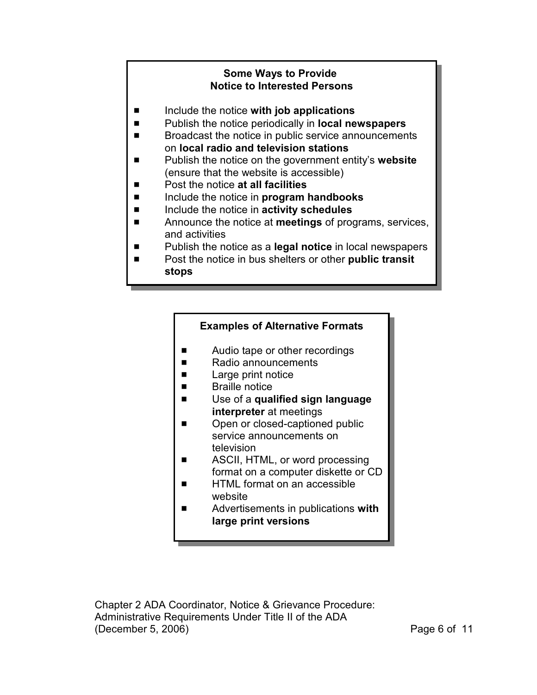#### **Some Ways to Provide Notice to Interested Persons**

- Include the notice with job applications
- Publish the notice periodically in **local newspapers**
- Broadcast the notice in public service announcements on **local radio and television stations**
- Publish the notice on the government entity's **website** (ensure that the website is accessible)
- Post the notice **at all facilities**
- $\blacksquare$  Include the notice in **program handbooks**
- Include the notice in **activity schedules**
- **EXECUTE:** Announce the notice at **meetings** of programs, services, and activities
- **EXECUTE:** Publish the notice as a **legal notice** in local newspapers
- Post the notice in bus shelters or other **public transit stops**

#### **Examples of Alternative Formats**

- Audio tape or other recordings
- Radio announcements
- **E** Large print notice
- **E** Braille notice
- $\blacksquare$  Use of a **qualified sign language interpreter** at meetings
- Open or closed-captioned public service announcements on television
- ASCII, HTML, or word processing format on a computer diskette or CD
- $\blacksquare$  HTML format on an accessible website
- Advertisements in publications with **large print versions**

Chapter 2 ADA Coordinator, Notice & Grievance Procedure: Administrative Requirements Under Title II of the ADA (December 5, 2006) Page 6 of 11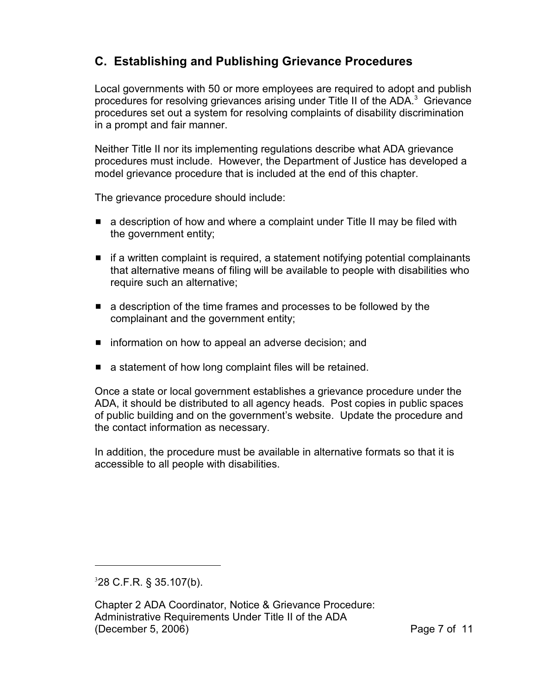### **C. Establishing and Publishing Grievance Procedures**

Local governments with 50 or more employees are required to adopt and publish procedures for resolving grievances arising under Title II of the ADA. $3$  Grievance procedures set out a system for resolving complaints of disability discrimination in a prompt and fair manner.

Neither Title II nor its implementing regulations describe what ADA grievance procedures must include. However, the Department of Justice has developed a model grievance procedure that is included at the end of this chapter.

The grievance procedure should include:

- $\blacksquare$  a description of how and where a complaint under Title II may be filed with the government entity;
- $\blacksquare$  if a written complaint is required, a statement notifying potential complainants that alternative means of filing will be available to people with disabilities who require such an alternative;
- $\blacksquare$  a description of the time frames and processes to be followed by the complainant and the government entity;
- $\blacksquare$  information on how to appeal an adverse decision; and
- $\blacksquare$  a statement of how long complaint files will be retained.

Once a state or local government establishes a grievance procedure under the ADA, it should be distributed to all agency heads. Post copies in public spaces of public building and on the government's website. Update the procedure and the contact information as necessary.

In addition, the procedure must be available in alternative formats so that it is accessible to all people with disabilities.

 $328$  C.F.R. § 35.107(b).

Chapter 2 ADA Coordinator, Notice & Grievance Procedure: Administrative Requirements Under Title II of the ADA (December 5, 2006) Page 7 of 11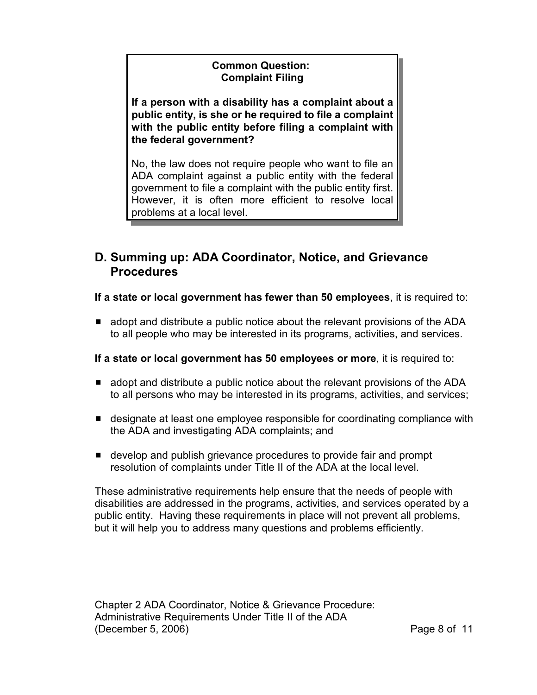#### **Common Question: Complaint Filing**

**If a person with a disability has a complaint about a public entity, is she or he required to file a complaint with the public entity before filing a complaint with the federal government?**

No, the law does not require people who want to file an ADA complaint against a public entity with the federal government to file a complaint with the public entity first. However, it is often more efficient to resolve local problems at a local level.

### **D. Summing up: ADA Coordinator, Notice, and Grievance Procedures**

**If a state or local government has fewer than 50 employees**, it is required to:

 $\blacksquare$  adopt and distribute a public notice about the relevant provisions of the ADA to all people who may be interested in its programs, activities, and services.

#### **If a state or local government has 50 employees or more**, it is required to:

- $\blacksquare$  adopt and distribute a public notice about the relevant provisions of the ADA to all persons who may be interested in its programs, activities, and services;
- **E** designate at least one employee responsible for coordinating compliance with the ADA and investigating ADA complaints; and
- **E** develop and publish grievance procedures to provide fair and prompt resolution of complaints under Title II of the ADA at the local level.

These administrative requirements help ensure that the needs of people with disabilities are addressed in the programs, activities, and services operated by a public entity. Having these requirements in place will not prevent all problems, but it will help you to address many questions and problems efficiently.

Chapter 2 ADA Coordinator, Notice & Grievance Procedure: Administrative Requirements Under Title II of the ADA (December 5, 2006) Page 8 of 11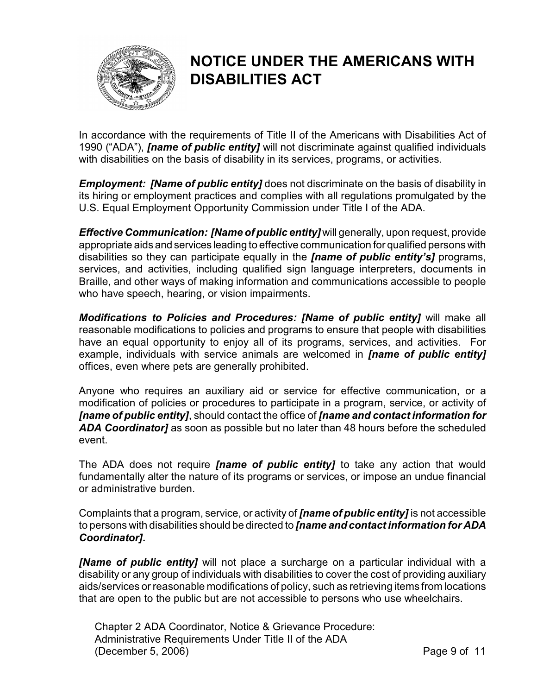

## **NOTICE UNDER THE AMERICANS WITH DISABILITIES ACT**

In accordance with the requirements of Title II of the Americans with Disabilities Act of 1990 ("ADA"), *[name of public entity]* will not discriminate against qualified individuals with disabilities on the basis of disability in its services, programs, or activities.

*Employment: [Name of public entity]* does not discriminate on the basis of disability in its hiring or employment practices and complies with all regulations promulgated by the U.S. Equal Employment Opportunity Commission under Title I of the ADA.

*Effective Communication: [Name of public entity]* will generally, upon request, provide appropriate aids and services leading to effective communication for qualified persons with disabilities so they can participate equally in the *[name of public entity's]* programs, services, and activities, including qualified sign language interpreters, documents in Braille, and other ways of making information and communications accessible to people who have speech, hearing, or vision impairments.

*Modifications to Policies and Procedures: [Name of public entity]* will make all reasonable modifications to policies and programs to ensure that people with disabilities have an equal opportunity to enjoy all of its programs, services, and activities. For example, individuals with service animals are welcomed in *[name of public entity]* offices, even where pets are generally prohibited.

Anyone who requires an auxiliary aid or service for effective communication, or a modification of policies or procedures to participate in a program, service, or activity of *[name of public entity]*, should contact the office of *[name and contact information for ADA Coordinator]* as soon as possible but no later than 48 hours before the scheduled event.

The ADA does not require *[name of public entity]* to take any action that would fundamentally alter the nature of its programs or services, or impose an undue financial or administrative burden.

Complaints that a program, service, or activity of *[name of public entity]* is not accessible to persons with disabilities should be directed to *[name and contact information for ADA Coordinator].*

*[Name of public entity]* will not place a surcharge on a particular individual with a disability or any group of individuals with disabilities to cover the cost of providing auxiliary aids/services or reasonable modifications of policy, such as retrieving items from locations that are open to the public but are not accessible to persons who use wheelchairs.

Chapter 2 ADA Coordinator, Notice & Grievance Procedure: Administrative Requirements Under Title II of the ADA (December 5, 2006) 2008 11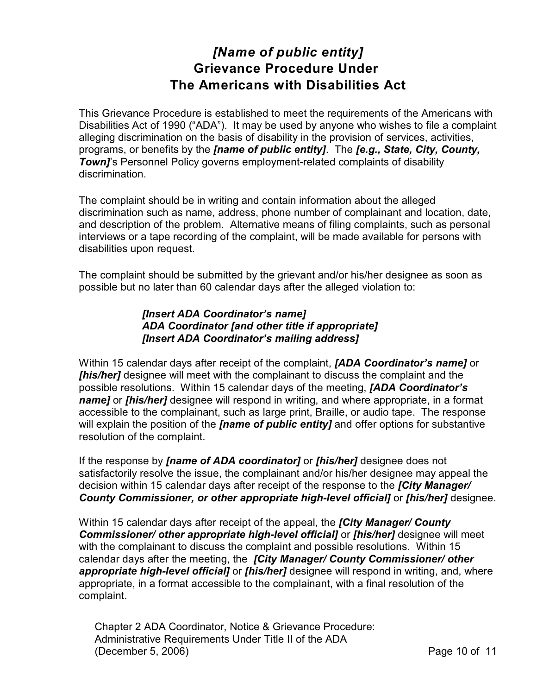## *[Name of public entity]* **Grievance Procedure Under The Americans with Disabilities Act**

This Grievance Procedure is established to meet the requirements of the Americans with Disabilities Act of 1990 ("ADA"). It may be used by anyone who wishes to file a complaint alleging discrimination on the basis of disability in the provision of services, activities, programs, or benefits by the *[name of public entity]*. The *[e.g., State, City, County,* **Town]'s Personnel Policy governs employment-related complaints of disability** discrimination.

The complaint should be in writing and contain information about the alleged discrimination such as name, address, phone number of complainant and location, date, and description of the problem. Alternative means of filing complaints, such as personal interviews or a tape recording of the complaint, will be made available for persons with disabilities upon request.

The complaint should be submitted by the grievant and/or his/her designee as soon as possible but no later than 60 calendar days after the alleged violation to:

#### *[Insert ADA Coordinator's name] ADA Coordinator [and other title if appropriate] [Insert ADA Coordinator's mailing address]*

Within 15 calendar days after receipt of the complaint, *[ADA Coordinator's name]* or *[his/her]* designee will meet with the complainant to discuss the complaint and the possible resolutions. Within 15 calendar days of the meeting, *[ADA Coordinator's name]* or *[his/her]* designee will respond in writing, and where appropriate, in a format accessible to the complainant, such as large print, Braille, or audio tape. The response will explain the position of the *[name of public entity]* and offer options for substantive resolution of the complaint.

If the response by *[name of ADA coordinator]* or *[his/her]* designee does not satisfactorily resolve the issue, the complainant and/or his/her designee may appeal the decision within 15 calendar days after receipt of the response to the *[City Manager/ County Commissioner, or other appropriate high-level official]* or *[his/her]* designee.

Within 15 calendar days after receipt of the appeal, the *[City Manager/ County Commissioner/ other appropriate high-level official]* or *[his/her]* designee will meet with the complainant to discuss the complaint and possible resolutions. Within 15 calendar days after the meeting, the *[City Manager/ County Commissioner/ other appropriate high-level official]* or *[his/her]* designee will respond in writing, and, where appropriate, in a format accessible to the complainant, with a final resolution of the complaint.

Chapter 2 ADA Coordinator, Notice & Grievance Procedure: Administrative Requirements Under Title II of the ADA (December 5, 2006) Page 10 of 11